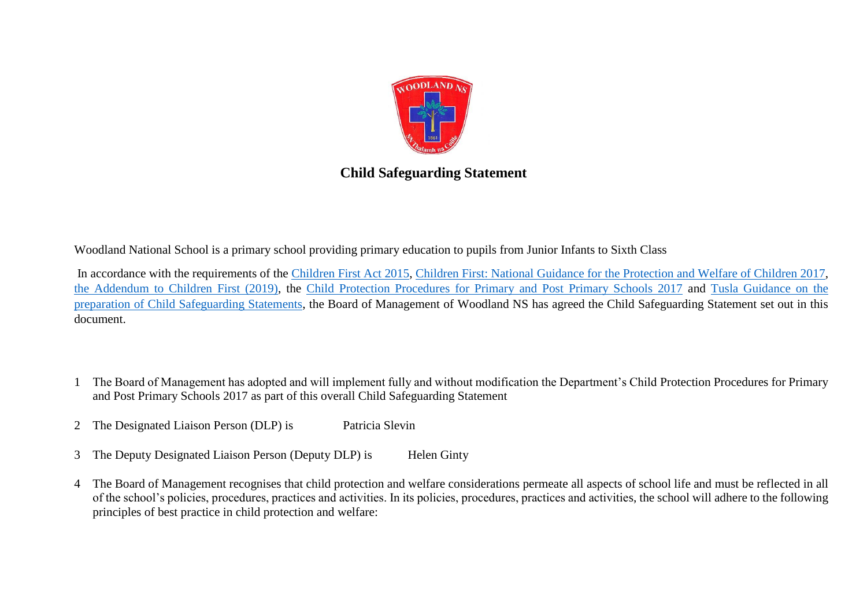

## **Child Safeguarding Statement**

Woodland National School is a primary school providing primary education to pupils from Junior Infants to Sixth Class

In accordance with the requirements of the [Children First Act 2015,](http://www.irishstatutebook.ie/eli/2015/act/36/enacted/en/pdf) [Children First: National Guidance for the Protection and Welfare of Children 2017,](https://assets.gov.ie/25844/b90aafa55804462f84d05f87f0ca2bf6.pdf) [the Addendum to Children First \(2019\),](https://assets.gov.ie/25819/c9744b64dfd6447985eeffa5c0d71bbb.pdf) the [Child Protection Procedures for Primary and Post Primary Schools 2017](https://www.gov.ie/pdf/?file=https://assets.gov.ie/45063/2d4b5b3d781e4ec1ab4f3e5d198717d9.pdf#page=1) and [Tusla Guidance on the](https://www.tusla.ie/uploads/content/4214-TUSLA_Guidance_on_Developing_a_CSS_LR.PDF)  [preparation of Child Safeguarding Statements,](https://www.tusla.ie/uploads/content/4214-TUSLA_Guidance_on_Developing_a_CSS_LR.PDF) the Board of Management of Woodland NS has agreed the Child Safeguarding Statement set out in this document.

- 1 The Board of Management has adopted and will implement fully and without modification the Department's Child Protection Procedures for Primary and Post Primary Schools 2017 as part of this overall Child Safeguarding Statement
- 2 The Designated Liaison Person (DLP) is Patricia Slevin
- 3 The Deputy Designated Liaison Person (Deputy DLP) is Helen Ginty
- 4 The Board of Management recognises that child protection and welfare considerations permeate all aspects of school life and must be reflected in all of the school's policies, procedures, practices and activities. In its policies, procedures, practices and activities, the school will adhere to the following principles of best practice in child protection and welfare: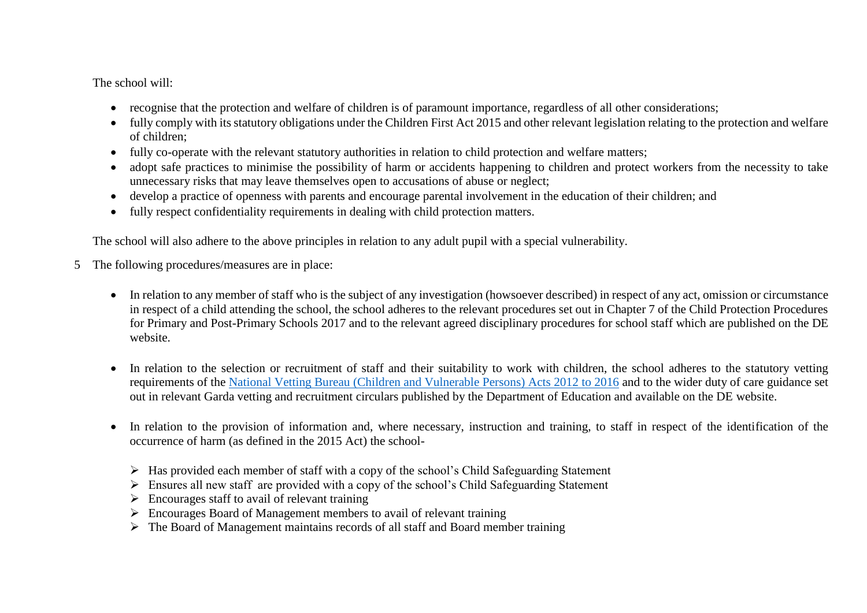The school will:

- recognise that the protection and welfare of children is of paramount importance, regardless of all other considerations;
- fully comply with its statutory obligations under the Children First Act 2015 and other relevant legislation relating to the protection and welfare of children;
- fully co-operate with the relevant statutory authorities in relation to child protection and welfare matters;
- adopt safe practices to minimise the possibility of harm or accidents happening to children and protect workers from the necessity to take unnecessary risks that may leave themselves open to accusations of abuse or neglect;
- develop a practice of openness with parents and encourage parental involvement in the education of their children; and
- fully respect confidentiality requirements in dealing with child protection matters.

The school will also adhere to the above principles in relation to any adult pupil with a special vulnerability.

- 5 The following procedures/measures are in place:
	- In relation to any member of staff who is the subject of any investigation (howsoever described) in respect of any act, omission or circumstance in respect of a child attending the school, the school adheres to the relevant procedures set out in Chapter 7 of the Child Protection Procedures for Primary and Post-Primary Schools 2017 and to the relevant agreed disciplinary procedures for school staff which are published on the DE website.
	- In relation to the selection or recruitment of staff and their suitability to work with children, the school adheres to the statutory vetting requirements of the [National Vetting Bureau \(Children and Vulnerable Persons\) Acts 2012 to 2016](https://revisedacts.lawreform.ie/eli/2012/act/47/revised/en/pdf) and to the wider duty of care guidance set out in relevant Garda vetting and recruitment circulars published by the Department of Education and available on the DE website.
	- In relation to the provision of information and, where necessary, instruction and training, to staff in respect of the identification of the occurrence of harm (as defined in the 2015 Act) the school-
		- $\triangleright$  Has provided each member of staff with a copy of the school's Child Safeguarding Statement
		- Ensures all new staff are provided with a copy of the school's Child Safeguarding Statement
		- $\triangleright$  Encourages staff to avail of relevant training
		- $\triangleright$  Encourages Board of Management members to avail of relevant training
		- $\triangleright$  The Board of Management maintains records of all staff and Board member training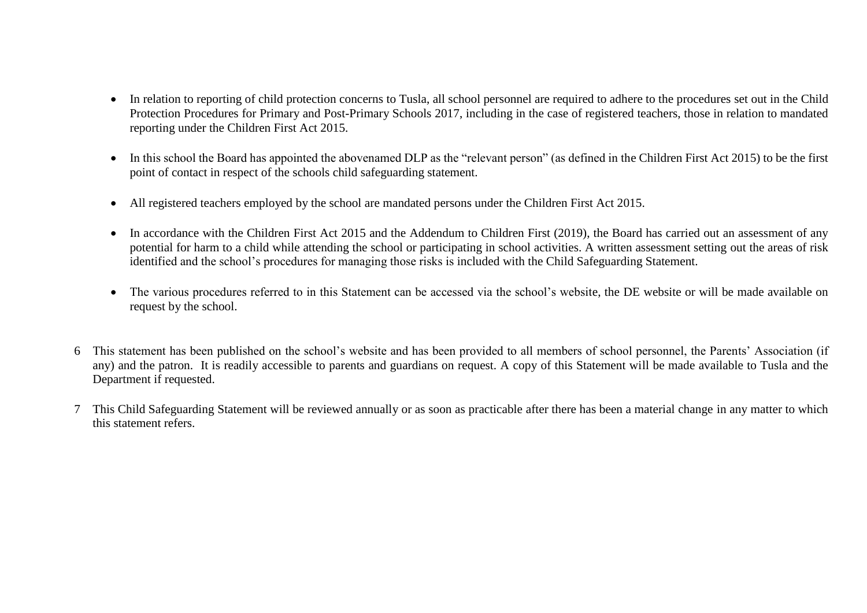- In relation to reporting of child protection concerns to Tusla, all school personnel are required to adhere to the procedures set out in the Child Protection Procedures for Primary and Post-Primary Schools 2017, including in the case of registered teachers, those in relation to mandated reporting under the Children First Act 2015.
- In this school the Board has appointed the abovenamed DLP as the "relevant person" (as defined in the Children First Act 2015) to be the first point of contact in respect of the schools child safeguarding statement.
- All registered teachers employed by the school are mandated persons under the Children First Act 2015.
- In accordance with the Children First Act 2015 and the Addendum to Children First (2019), the Board has carried out an assessment of any potential for harm to a child while attending the school or participating in school activities. A written assessment setting out the areas of risk identified and the school's procedures for managing those risks is included with the Child Safeguarding Statement.
- The various procedures referred to in this Statement can be accessed via the school's website, the DE website or will be made available on request by the school.
- 6 This statement has been published on the school's website and has been provided to all members of school personnel, the Parents' Association (if any) and the patron. It is readily accessible to parents and guardians on request. A copy of this Statement will be made available to Tusla and the Department if requested.
- 7 This Child Safeguarding Statement will be reviewed annually or as soon as practicable after there has been a material change in any matter to which this statement refers.